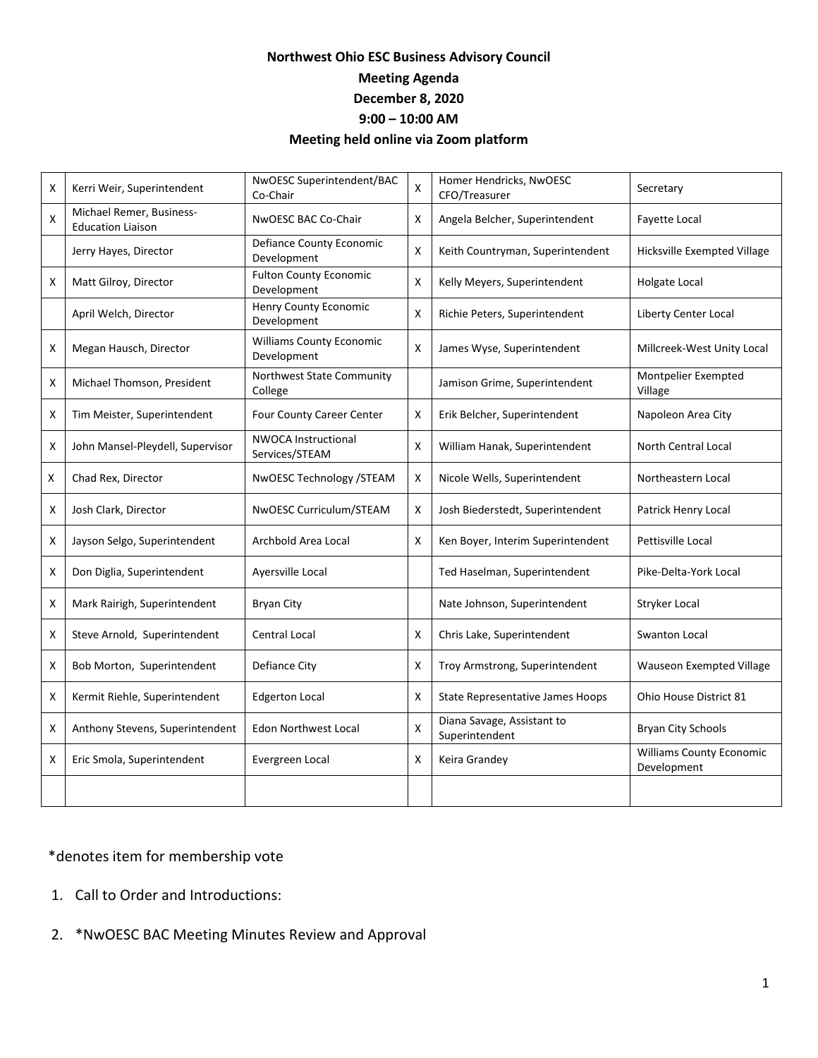## **Northwest Ohio ESC Business Advisory Council Meeting Agenda December 8, 2020 9:00 – 10:00 AM Meeting held online via Zoom platform**

| X                         | Kerri Weir, Superintendent                           | NwOESC Superintendent/BAC<br>Co-Chair          | X | Homer Hendricks, NwOESC<br>CFO/Treasurer     | Secretary                                      |
|---------------------------|------------------------------------------------------|------------------------------------------------|---|----------------------------------------------|------------------------------------------------|
| $\boldsymbol{\mathsf{X}}$ | Michael Remer, Business-<br><b>Education Liaison</b> | NwOESC BAC Co-Chair                            | X | Angela Belcher, Superintendent               | Fayette Local                                  |
|                           | Jerry Hayes, Director                                | Defiance County Economic<br>Development        | X | Keith Countryman, Superintendent             | Hicksville Exempted Village                    |
| X                         | Matt Gilroy, Director                                | <b>Fulton County Economic</b><br>Development   | X | Kelly Meyers, Superintendent                 | Holgate Local                                  |
|                           | April Welch, Director                                | <b>Henry County Economic</b><br>Development    | X | Richie Peters, Superintendent                | Liberty Center Local                           |
| X                         | Megan Hausch, Director                               | <b>Williams County Economic</b><br>Development | X | James Wyse, Superintendent                   | Millcreek-West Unity Local                     |
| X                         | Michael Thomson, President                           | Northwest State Community<br>College           |   | Jamison Grime, Superintendent                | Montpelier Exempted<br>Village                 |
| X                         | Tim Meister, Superintendent                          | Four County Career Center                      | X | Erik Belcher, Superintendent                 | Napoleon Area City                             |
| Χ                         | John Mansel-Pleydell, Supervisor                     | <b>NWOCA Instructional</b><br>Services/STEAM   | X | William Hanak, Superintendent                | North Central Local                            |
| X                         | Chad Rex, Director                                   | NwOESC Technology / STEAM                      | X | Nicole Wells, Superintendent                 | Northeastern Local                             |
| X                         | Josh Clark, Director                                 | NwOESC Curriculum/STEAM                        | X | Josh Biederstedt, Superintendent             | Patrick Henry Local                            |
| Χ                         | Jayson Selgo, Superintendent                         | Archbold Area Local                            | X | Ken Boyer, Interim Superintendent            | Pettisville Local                              |
| X                         | Don Diglia, Superintendent                           | Ayersville Local                               |   | Ted Haselman, Superintendent                 | Pike-Delta-York Local                          |
| Χ                         | Mark Rairigh, Superintendent                         | <b>Bryan City</b>                              |   | Nate Johnson, Superintendent                 | Stryker Local                                  |
| Χ                         | Steve Arnold, Superintendent                         | <b>Central Local</b>                           | X | Chris Lake, Superintendent                   | Swanton Local                                  |
| X                         | Bob Morton, Superintendent                           | Defiance City                                  | X | Troy Armstrong, Superintendent               | Wauseon Exempted Village                       |
| X                         | Kermit Riehle, Superintendent                        | <b>Edgerton Local</b>                          | X | State Representative James Hoops             | Ohio House District 81                         |
| Χ                         | Anthony Stevens, Superintendent                      | <b>Edon Northwest Local</b>                    | X | Diana Savage, Assistant to<br>Superintendent | <b>Bryan City Schools</b>                      |
| X                         | Eric Smola, Superintendent                           | Evergreen Local                                | X | Keira Grandey                                | <b>Williams County Economic</b><br>Development |
|                           |                                                      |                                                |   |                                              |                                                |

## \*denotes item for membership vote

- 1. Call to Order and Introductions:
- 2. \*NwOESC BAC Meeting Minutes Review and Approval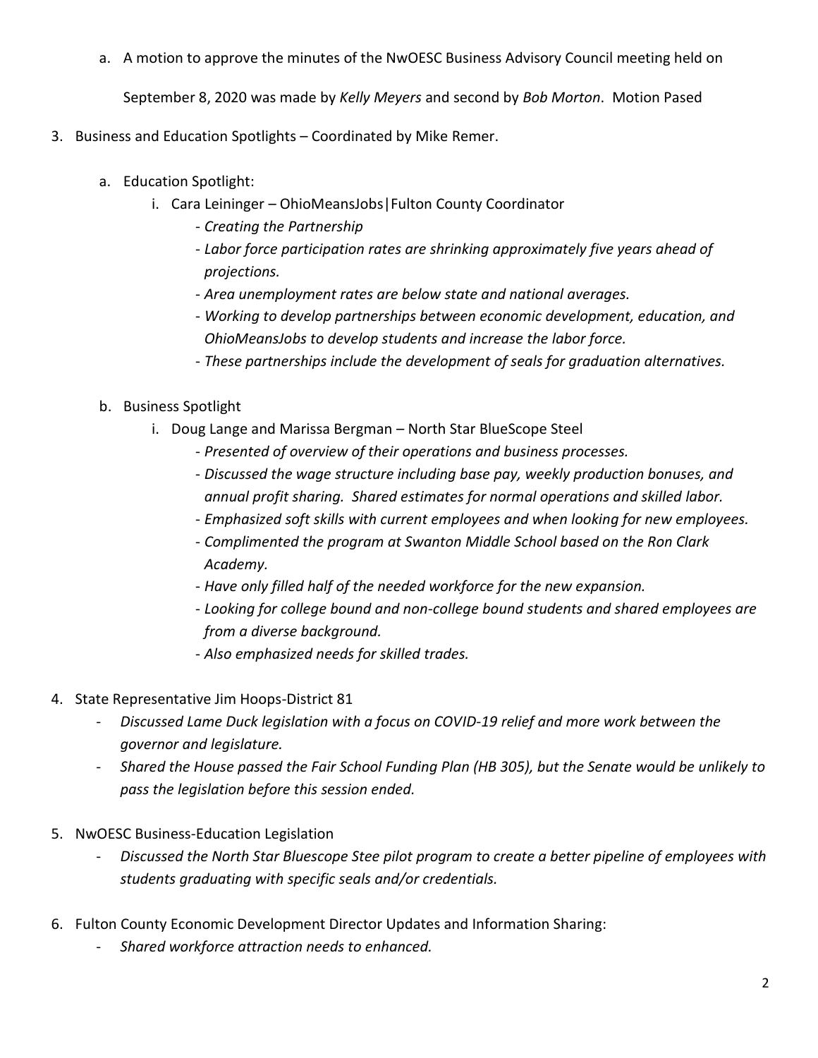a. A motion to approve the minutes of the NwOESC Business Advisory Council meeting held on

September 8, 2020 was made by *Kelly Meyers* and second by *Bob Morton*. Motion Pased

- 3. Business and Education Spotlights Coordinated by Mike Remer.
	- a. Education Spotlight:
		- i. Cara Leininger OhioMeansJobs|Fulton County Coordinator
			- *Creating the Partnership*
			- *Labor force participation rates are shrinking approximately five years ahead of projections.*
			- *Area unemployment rates are below state and national averages.*
			- *Working to develop partnerships between economic development, education, and OhioMeansJobs to develop students and increase the labor force.*
			- *These partnerships include the development of seals for graduation alternatives.*
	- b. Business Spotlight
		- i. Doug Lange and Marissa Bergman North Star BlueScope Steel
			- *Presented of overview of their operations and business processes.*
			- *Discussed the wage structure including base pay, weekly production bonuses, and annual profit sharing. Shared estimates for normal operations and skilled labor.*
			- *Emphasized soft skills with current employees and when looking for new employees.*
			- *Complimented the program at Swanton Middle School based on the Ron Clark Academy.*
			- *Have only filled half of the needed workforce for the new expansion.*
			- *Looking for college bound and non-college bound students and shared employees are from a diverse background.*
			- *Also emphasized needs for skilled trades.*
- 4. State Representative Jim Hoops-District 81
	- *Discussed Lame Duck legislation with a focus on COVID-19 relief and more work between the governor and legislature.*
	- *Shared the House passed the Fair School Funding Plan (HB 305), but the Senate would be unlikely to pass the legislation before this session ended.*
- 5. NwOESC Business-Education Legislation
	- *Discussed the North Star Bluescope Stee pilot program to create a better pipeline of employees with students graduating with specific seals and/or credentials.*
- 6. Fulton County Economic Development Director Updates and Information Sharing:
	- *Shared workforce attraction needs to enhanced.*